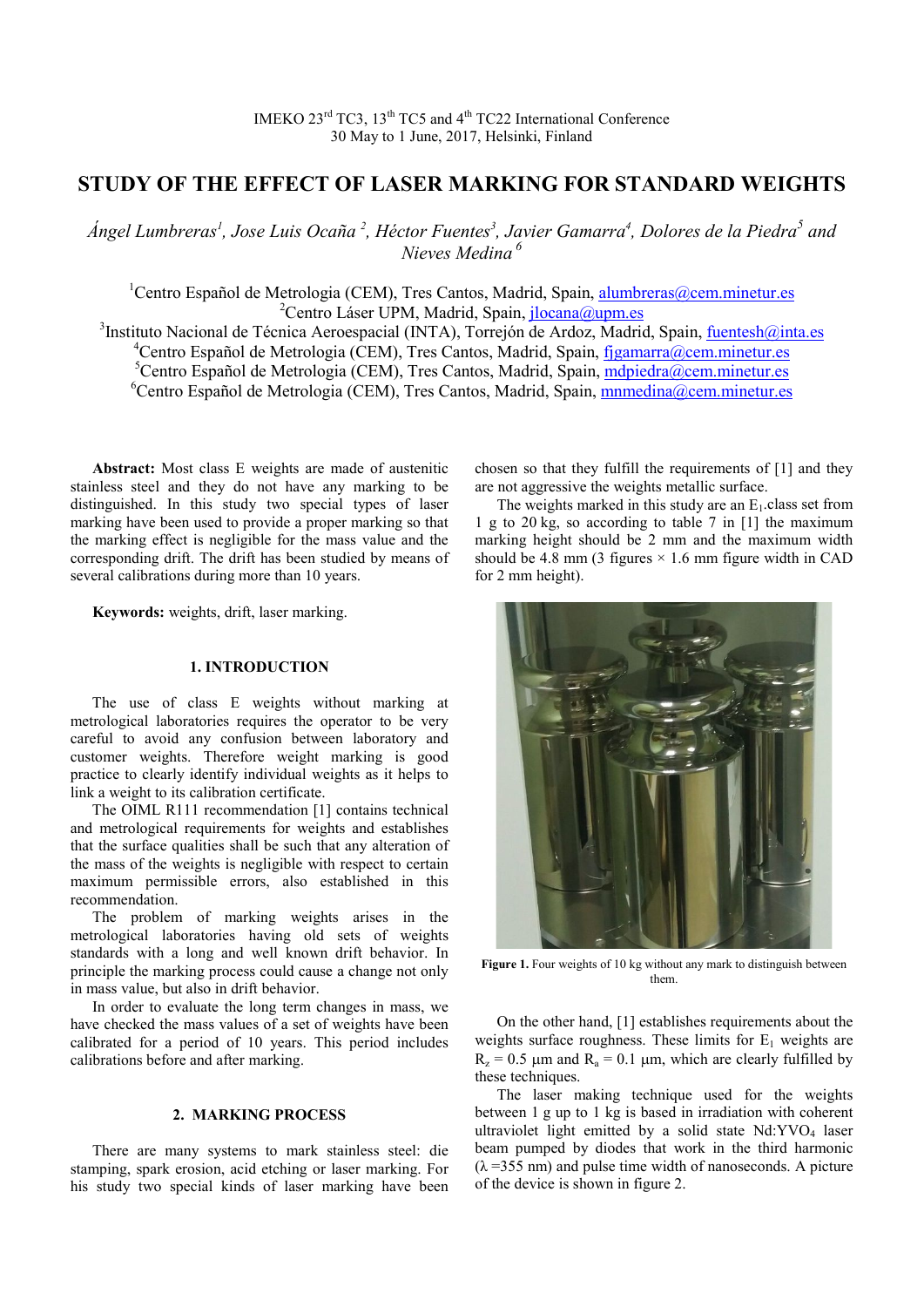# **STUDY OF THE EFFECT OF LASER MARKING FOR STANDARD WEIGHTS**

*Ángel Lumbreras1 , Jose Luis Ocaña <sup>2</sup> , Héctor Fuentes3 , Javier Gamarra4 , Dolores de la Piedra5 and Nieves Medina <sup>6</sup>*

<sup>1</sup>Centro Español de Metrologia (CEM), Tres Cantos, Madrid, Spain, [alumbreras@cem.minetur.es](mailto:alumbreras@cem.minetur.es) <sup>2</sup>Centro Láser UPM, Madrid, Spain, [jlocana@upm.es](mailto:jlocana@upm.es) <sup>3</sup>Instituto Nacional de Técnica Aeroespacial (INTA), Torrejón de Ardoz, Madrid, Spain, [fuentesh@inta.es](mailto:fuentesh@inta.es)

<sup>4</sup>Centro Español de Metrologia (CEM), Tres Cantos, Madrid, Spain, [fjgamarra@cem.minetur.es](mailto:fjgamarra@cem.minetur.es) <sup>5</sup>Centro Español de Metrologia (CEM), Tres Cantos, Madrid, Spain, *mopiedra@cem.minetur.es* 

<sup>6</sup>Centro Español de Metrologia (CEM), Tres Cantos, Madrid, Spain, *mnmedina@cem.minetur.es* 

**Abstract:** Most class E weights are made of austenitic stainless steel and they do not have any marking to be distinguished. In this study two special types of laser marking have been used to provide a proper marking so that the marking effect is negligible for the mass value and the corresponding drift. The drift has been studied by means of several calibrations during more than 10 years.

**Keywords:** weights, drift, laser marking.

## **1. INTRODUCTION**

The use of class E weights without marking at metrological laboratories requires the operator to be very careful to avoid any confusion between laboratory and customer weights. Therefore weight marking is good practice to clearly identify individual weights as it helps to link a weight to its calibration certificate.

The OIML R111 recommendation [1] contains technical and metrological requirements for weights and establishes that the surface qualities shall be such that any alteration of the mass of the weights is negligible with respect to certain maximum permissible errors, also established in this recommendation.

The problem of marking weights arises in the metrological laboratories having old sets of weights standards with a long and well known drift behavior. In principle the marking process could cause a change not only in mass value, but also in drift behavior.

In order to evaluate the long term changes in mass, we have checked the mass values of a set of weights have been calibrated for a period of 10 years. This period includes calibrations before and after marking.

## **2. MARKING PROCESS**

There are many systems to mark stainless steel: die stamping, spark erosion, acid etching or laser marking. For his study two special kinds of laser marking have been chosen so that they fulfill the requirements of [1] and they are not aggressive the weights metallic surface.

The weights marked in this study are an  $E_1$  class set from 1 g to 20 kg, so according to table 7 in [1] the maximum marking height should be 2 mm and the maximum width should be 4.8 mm (3 figures  $\times$  1.6 mm figure width in CAD for 2 mm height).



**Figure 1.** Four weights of 10 kg without any mark to distinguish between them.

On the other hand, [1] establishes requirements about the weights surface roughness. These limits for  $E_1$  weights are  $R_z = 0.5$  µm and  $R_a = 0.1$  µm, which are clearly fulfilled by these techniques.

The laser making technique used for the weights between 1 g up to 1 kg is based in irradiation with coherent ultraviolet light emitted by a solid state Nd:YVO<sub>4</sub> laser beam pumped by diodes that work in the third harmonic  $(\lambda = 355$  nm) and pulse time width of nanoseconds. A picture of the device is shown in figure 2.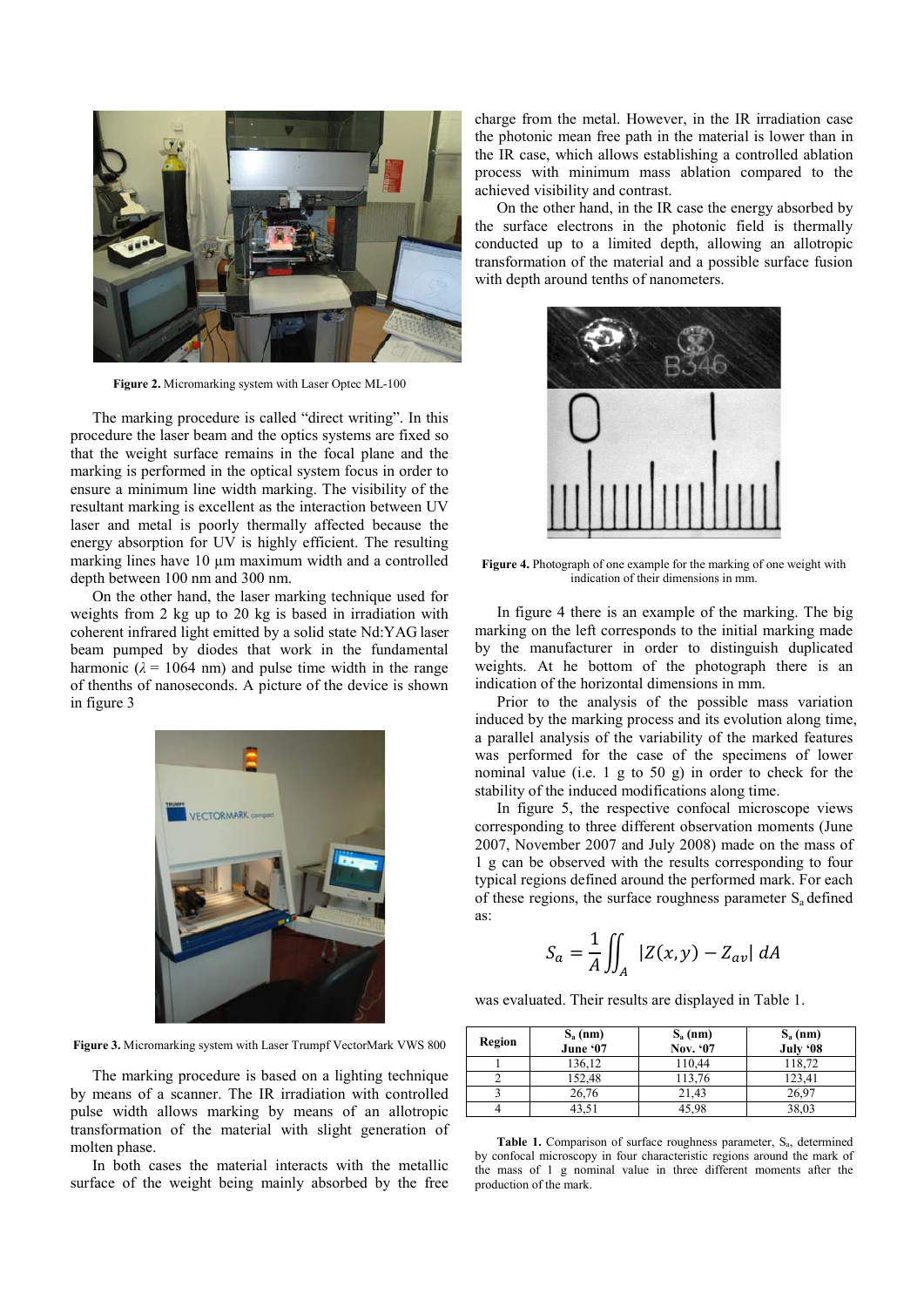

**Figure 2.** Micromarking system with Laser Optec ML-100

The marking procedure is called "direct writing". In this procedure the laser beam and the optics systems are fixed so that the weight surface remains in the focal plane and the marking is performed in the optical system focus in order to ensure a minimum line width marking. The visibility of the resultant marking is excellent as the interaction between UV laser and metal is poorly thermally affected because the energy absorption for UV is highly efficient. The resulting marking lines have 10 μm maximum width and a controlled depth between 100 nm and 300 nm.

On the other hand, the laser marking technique used for weights from 2 kg up to 20 kg is based in irradiation with coherent infrared light emitted by a solid state Nd:YAG laser beam pumped by diodes that work in the fundamental harmonic  $(\lambda = 1064 \text{ nm})$  and pulse time width in the range of thenths of nanoseconds. A picture of the device is shown in figure 3



**Figure 3.** Micromarking system with Laser Trumpf VectorMark VWS 800

The marking procedure is based on a lighting technique by means of a scanner. The IR irradiation with controlled pulse width allows marking by means of an allotropic transformation of the material with slight generation of molten phase.

In both cases the material interacts with the metallic surface of the weight being mainly absorbed by the free charge from the metal. However, in the IR irradiation case the photonic mean free path in the material is lower than in the IR case, which allows establishing a controlled ablation process with minimum mass ablation compared to the achieved visibility and contrast.

On the other hand, in the IR case the energy absorbed by the surface electrons in the photonic field is thermally conducted up to a limited depth, allowing an allotropic transformation of the material and a possible surface fusion with depth around tenths of nanometers.



**Figure 4.** Photograph of one example for the marking of one weight with indication of their dimensions in mm.

In figure 4 there is an example of the marking. The big marking on the left corresponds to the initial marking made by the manufacturer in order to distinguish duplicated weights. At he bottom of the photograph there is an indication of the horizontal dimensions in mm.

Prior to the analysis of the possible mass variation induced by the marking process and its evolution along time, a parallel analysis of the variability of the marked features was performed for the case of the specimens of lower nominal value (i.e. 1 g to 50 g) in order to check for the stability of the induced modifications along time.

In figure 5, the respective confocal microscope views corresponding to three different observation moments (June 2007, November 2007 and July 2008) made on the mass of 1 g can be observed with the results corresponding to four typical regions defined around the performed mark. For each of these regions, the surface roughness parameter  $S_a$  defined as:

$$
S_a = \frac{1}{A} \iint_A |Z(x, y) - Z_{av}| dA
$$

was evaluated. Their results are displayed in Table 1.

| Region | $S_a$ (nm)<br>June '07 | $S_a$ (nm)<br>Nov. '07 | $S_a$ (nm)<br>July '08 |
|--------|------------------------|------------------------|------------------------|
|        | 136,12                 | 110,44                 | 118,72                 |
|        | 152,48                 | 113,76                 | 123,41                 |
|        | 26,76                  | 21,43                  | 26,97                  |
|        |                        | 45.98                  | 38,03                  |

Table 1. Comparison of surface roughness parameter, S<sub>a</sub>, determined by confocal microscopy in four characteristic regions around the mark of the mass of 1 g nominal value in three different moments after the production of the mark.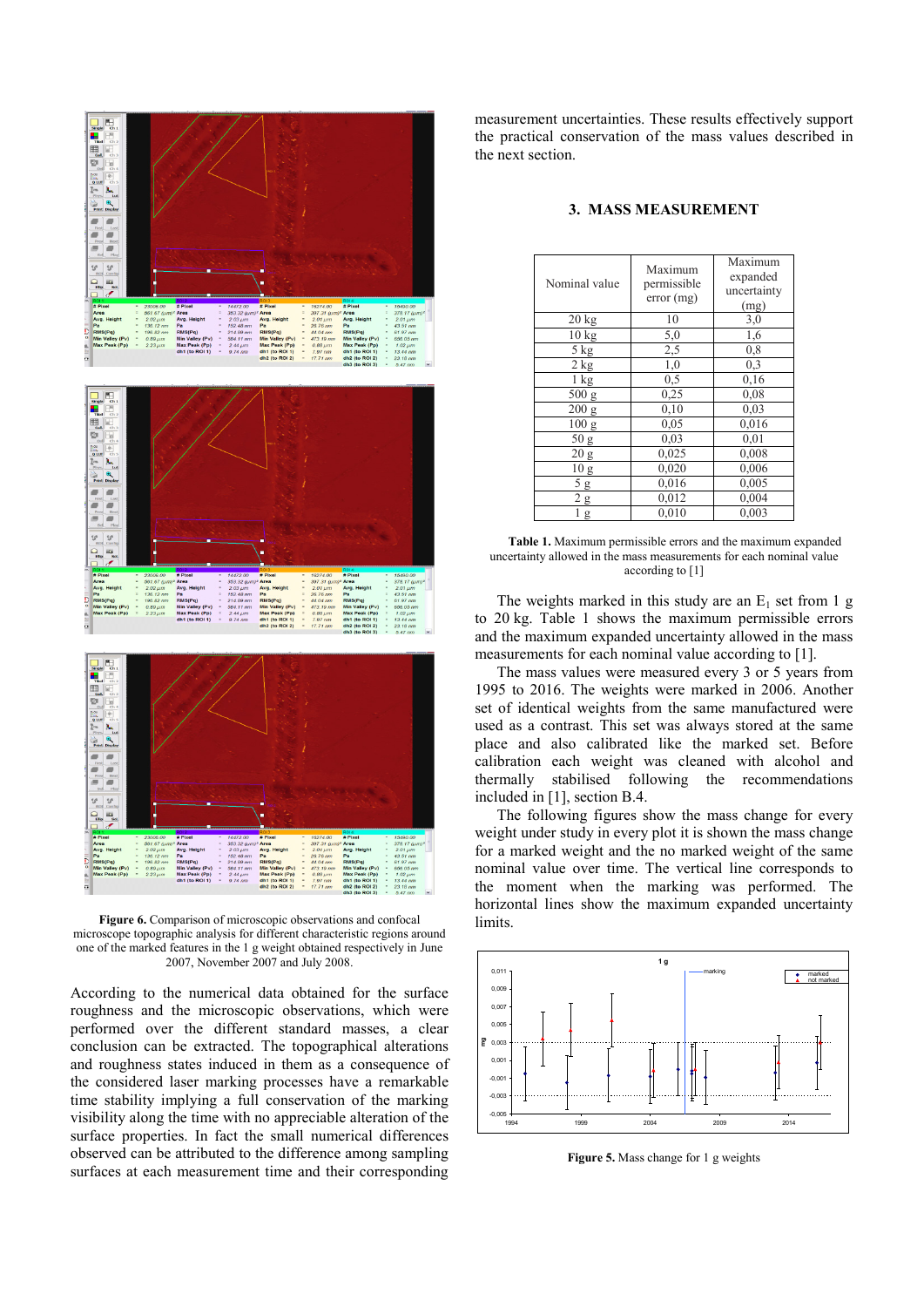

**Figure 6.** Comparison of microscopic observations and confocal microscope topographic analysis for different characteristic regions around one of the marked features in the 1 g weight obtained respectively in June 2007, November 2007 and July 2008.

According to the numerical data obtained for the surface roughness and the microscopic observations, which were performed over the different standard masses, a clear conclusion can be extracted. The topographical alterations and roughness states induced in them as a consequence of the considered laser marking processes have a remarkable time stability implying a full conservation of the marking visibility along the time with no appreciable alteration of the surface properties. In fact the small numerical differences observed can be attributed to the difference among sampling surfaces at each measurement time and their corresponding

measurement uncertainties. These results effectively support the practical conservation of the mass values described in the next section.

| Nominal value    | Maximum<br>permissible<br>error(mg) | Maximum<br>expanded<br>uncertainty<br>(mg) |
|------------------|-------------------------------------|--------------------------------------------|
| $20$ kg          | 10                                  | 3,0                                        |
| 10 kg            | 5,0                                 | 1,6                                        |
| 5 kg             | 2,5                                 | $_{0,8}$                                   |
| 2 kg             | 1,0                                 | 0,3                                        |
| $1 \text{ kg}$   | 0,5                                 | 0,16                                       |
| 500 g            | 0,25                                | 0,08                                       |
| 200 g            | 0.10                                | 0.03                                       |
| 100 <sub>g</sub> | 0,05                                | 0,016                                      |
| 50 g             | 0.03                                | 0.01                                       |
| 20 g             | 0,025                               | 0,008                                      |
| 10 <sub>g</sub>  | 0,020                               | 0,006                                      |
| 5g               | 0,016                               | 0,005                                      |
| 2g               | 0,012                               | 0,004                                      |
| g                | 0,010                               | 0,003                                      |

### **3. MASS MEASUREMENT**

**Table 1.** Maximum permissible errors and the maximum expanded uncertainty allowed in the mass measurements for each nominal value according to [1]

The weights marked in this study are an  $E_1$  set from 1 g to 20 kg. Table 1 shows the maximum permissible errors and the maximum expanded uncertainty allowed in the mass measurements for each nominal value according to [1].

The mass values were measured every 3 or 5 years from 1995 to 2016. The weights were marked in 2006. Another set of identical weights from the same manufactured were used as a contrast. This set was always stored at the same place and also calibrated like the marked set. Before calibration each weight was cleaned with alcohol and thermally stabilised following the recommendations included in [1], section B.4.

The following figures show the mass change for every weight under study in every plot it is shown the mass change for a marked weight and the no marked weight of the same nominal value over time. The vertical line corresponds to the moment when the marking was performed. The horizontal lines show the maximum expanded uncertainty limits.



**Figure 5.** Mass change for 1 g weights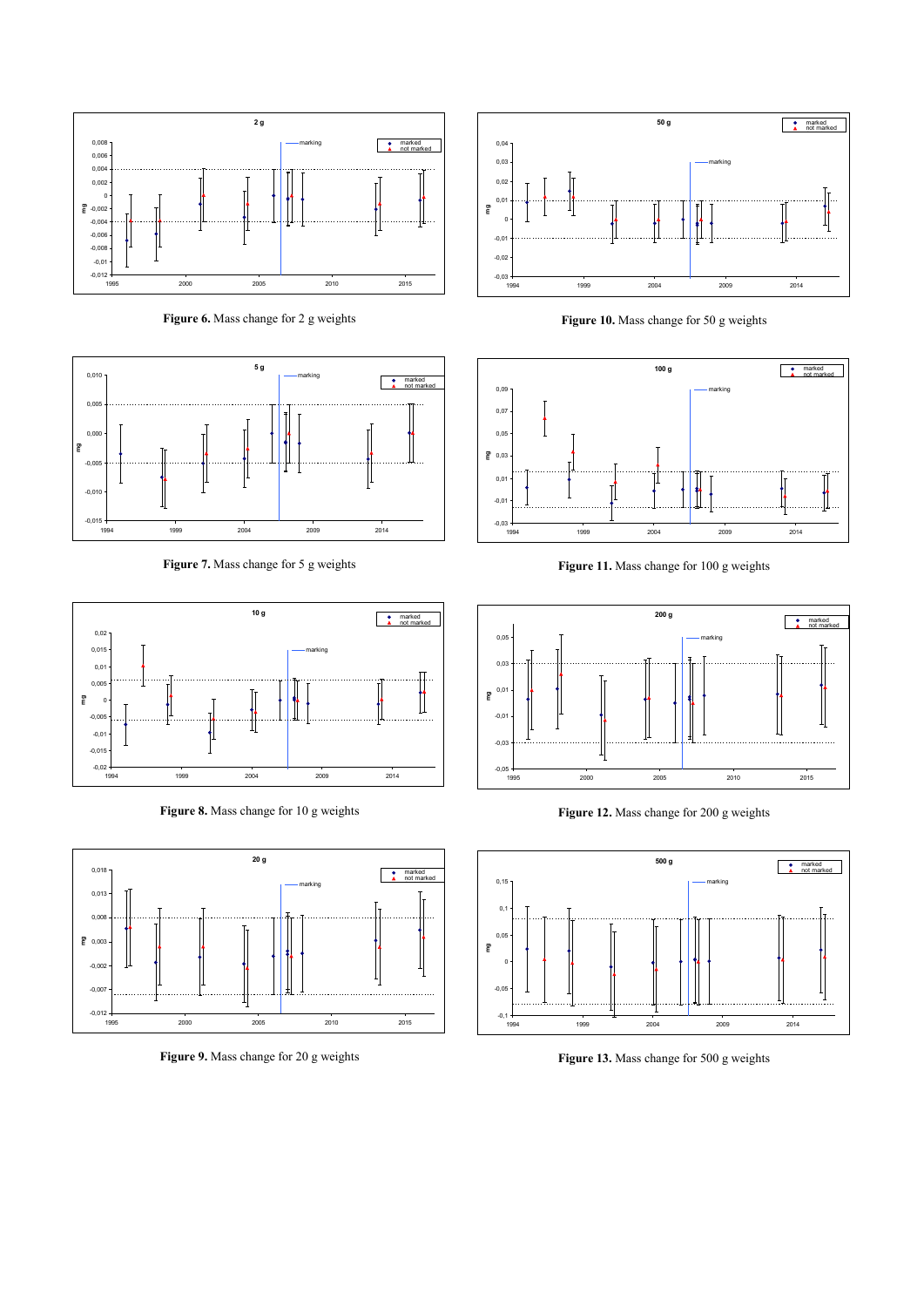

**Figure 6.** Mass change for 2 g weights



**Figure 7.** Mass change for 5 g weights



**Figure 8.** Mass change for 10 g weights



**Figure 9.** Mass change for 20 g weights



**Figure 10.** Mass change for 50 g weights



**Figure 11.** Mass change for 100 g weights



**Figure 12.** Mass change for 200 g weights



**Figure 13.** Mass change for 500 g weights